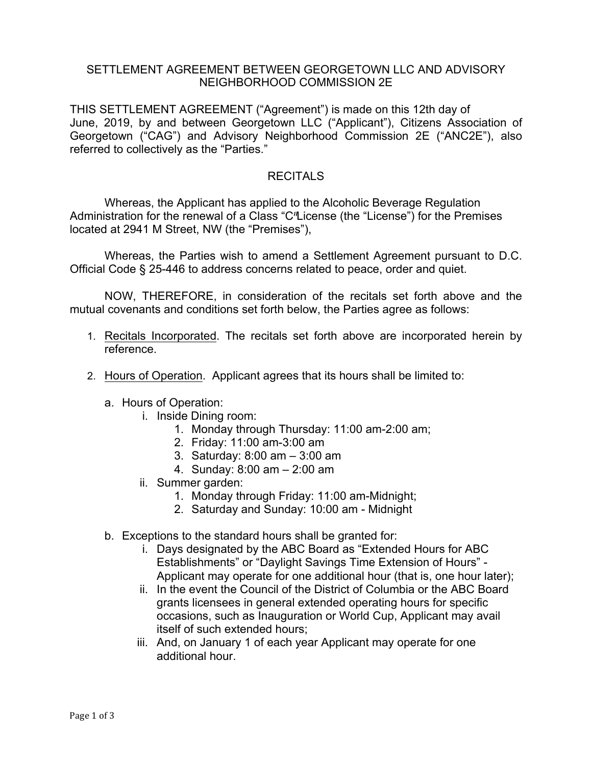## SETTLEMENT AGREEMENT BETWEEN GEORGETOWN LLC AND ADVISORY NEIGHBORHOOD COMMISSION 2E

THIS SETTLEMENT AGREEMENT ("Agreement") is made on this 12th day of June, 2019, by and between Georgetown LLC ("Applicant"), Citizens Association of Georgetown ("CAG") and Advisory Neighborhood Commission 2E ("ANC2E"), also referred to collectively as the "Parties."

## **RECITALS**

Whereas, the Applicant has applied to the Alcoholic Beverage Regulation Administration for the renewal of a Class "C"License (the "License") for the Premises located at 2941 M Street, NW (the "Premises"),

Whereas, the Parties wish to amend a Settlement Agreement pursuant to D.C. Official Code § 25-446 to address concerns related to peace, order and quiet.

NOW, THEREFORE, in consideration of the recitals set forth above and the mutual covenants and conditions set forth below, the Parties agree as follows:

- 1. Recitals Incorporated. The recitals set forth above are incorporated herein by reference.
- 2. Hours of Operation. Applicant agrees that its hours shall be limited to:
	- a. Hours of Operation:
		- i. Inside Dining room:
			- 1. Monday through Thursday: 11:00 am-2:00 am;
			- 2. Friday: 11:00 am-3:00 am
			- 3. Saturday: 8:00 am 3:00 am
			- 4. Sunday: 8:00 am 2:00 am
		- ii. Summer garden:
			- 1. Monday through Friday: 11:00 am-Midnight;
			- 2. Saturday and Sunday: 10:00 am Midnight
	- b. Exceptions to the standard hours shall be granted for:
		- i. Days designated by the ABC Board as "Extended Hours for ABC Establishments" or "Daylight Savings Time Extension of Hours" - Applicant may operate for one additional hour (that is, one hour later);
		- ii. In the event the Council of the District of Columbia or the ABC Board grants licensees in general extended operating hours for specific occasions, such as Inauguration or World Cup, Applicant may avail itself of such extended hours;
		- iii. And, on January 1 of each year Applicant may operate for one additional hour.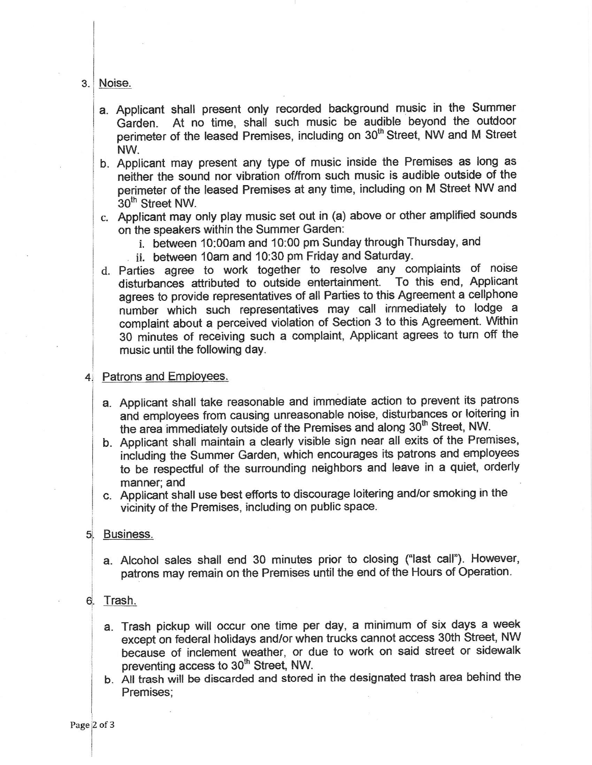3. Noise.

- a. Applicant shall present only recorded background music in the Summer At no time, shall such music be audible beyond the outdoor Garden. perimeter of the leased Premises, including on 30<sup>th</sup> Street. NW and M Street NW.
- b. Applicant may present any type of music inside the Premises as long as neither the sound nor vibration of/from such music is audible outside of the perimeter of the leased Premises at any time, including on M Street NW and 30<sup>th</sup> Street NW.
- c. Applicant may only play music set out in (a) above or other amplified sounds on the speakers within the Summer Garden:
	- i. between 10:00am and 10:00 pm Sunday through Thursday, and
	- ii. between 10am and 10:30 pm Friday and Saturday.
- d. Parties agree to work together to resolve any complaints of noise disturbances attributed to outside entertainment. To this end, Applicant agrees to provide representatives of all Parties to this Agreement a cellphone number which such representatives may call immediately to lodge a complaint about a perceived violation of Section 3 to this Agreement. Within 30 minutes of receiving such a complaint, Applicant agrees to turn off the music until the following day.
- 4. Patrons and Employees.
	- a. Applicant shall take reasonable and immediate action to prevent its patrons and employees from causing unreasonable noise, disturbances or loitering in the area immediately outside of the Premises and along 30<sup>th</sup> Street, NW.
	- b. Applicant shall maintain a clearly visible sign near all exits of the Premises, including the Summer Garden, which encourages its patrons and employees to be respectful of the surrounding neighbors and leave in a quiet, orderly manner: and
	- c. Applicant shall use best efforts to discourage loitering and/or smoking in the vicinity of the Premises, including on public space.
- 5. Business.
	- a. Alcohol sales shall end 30 minutes prior to closing ("last call"). However, patrons may remain on the Premises until the end of the Hours of Operation.
- 6. Trash.
	- a. Trash pickup will occur one time per day, a minimum of six days a week except on federal holidays and/or when trucks cannot access 30th Street, NW because of inclement weather, or due to work on said street or sidewalk preventing access to 30<sup>th</sup> Street, NW.
	- b. All trash will be discarded and stored in the designated trash area behind the Premises: